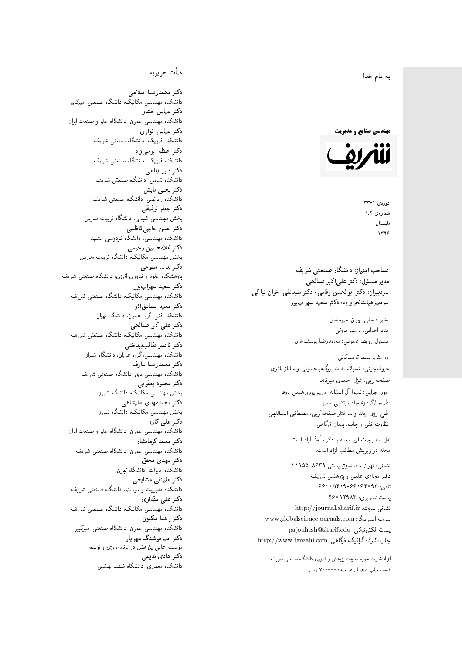$\overline{\phantom{a}}$ ز<br>ن به نام خدا .<br>.

**مهندسی صنایع و مدیریت** 



 $37 - 1$ شمارەي ١٫٢ تابستان 1396

مدیر مسئول: دکتر علیاکبر صالحی  $\mathfrak{c}$ سردبیران: دکتر ابوالحسن وفائی- دکتر سیدتقی اخوان نیاکی سردېيرهياتټحر ير يه: دکتر سعيد سهرابپور

> مدير داخلى: پوران خيرمندى<br>ا مدير اجرايي: پريسا مروتي<br>. مسئول روابط عمومی: محمدرضا یوسفخان<br>.

ويرايش: سيما تويسركان<sub>ى</sub><br>م امور اجرایی: شیما آل اسداله، مریم پورابراهیمی باوفا طراح لوگو: زندهیاد مرتضمی ممیز<br>ا طرح روی جلد و ساختار صفحهآرایی: مصطفی اسداللهی<br>مطلب منتقل نظارت فٽ<sub>ی</sub> و چاپ: پيمان فرگاه<sub>ی</sub><br>. حروفچینی: شمیلاسادات بزرگنیاحسینی و ساناز نادری صفحهآرايي: غزل احمدي ميرقائد

نقل مندرجات این مجله با ذکر مأخذ آزاد است.<br>مجله در ویرایش مطالب آزاد است.

نشانی: تهران / ۸۶۳۹–۱۱۱۵۵ دفتر مجلهى علمى و پژوهشى شريف 56000194196969 + 196000 ست تصویری: ۱۲۹۸۳ ۶۶۰ نشانی سایت: http://journal.sharif.ir<br>ء سایت اسپرینگر: www.globalsciencejournals.com<br>افکار کافی کے مطابق کافیل کے مطابق کافیل کے مطابق کافیل کے مطابق کافیل کرنا pajouhesh@sharif.edu :يست الكترونيكي http://www.fargahi.com ،ياب: كارگاه گرافيک فرگاهي صاحب امتياز: دانشگاه صنعتي شريف<br>مدري مسئول: دكتر على اكبر صالحي<br>سردبيران: دكتر ابوالحسن وفاقي- دكتر سر<br>سردبيران: دكتر ابوالحسن وفاقي- دكتر سر<br>سردبيران: دكتر ابوالحسن وفاقي- دكتر سعيد<br>مدير اجرايي: پريسا مروتي<br>ميزان براي اب

از انتشارات حوزه معاونت پژوهش و فناوری دانشگاه صنعتی شریف<br>قیمت جاب دیجیتال هر جلد: ۷۰۰۰۰۰ ریال

### هيأت تحريريه

دكتر محمدرضا اسلامى مکانیک، دانشگاه صنعتی امیرکبیر<br>. دكتر عباس افشار دانشکده مهندسی عمران، دانشگاه علم و صنعت ایران<br>بحمد مصلحات دكتر عباس انوارى دانشکده فیزیک، دانشگاه صنعتبی شریف<br>محمد استانسا دکتر اعظم ايرجى زاد ، دانشگاه صنعتبی شریف<br>. دکتر داور بقاع**ی** دانشکده شیمی، دانشگاه صنعتی شریف<br>دکتر یحیی تابش دانشکده ریاضی، دانشگاه صنعتی شریف<br>برمسمنستانستان دكتر جعفر توفيقي بخش مهندسی شیمی، دانشگاه تربیت مدرس<br>سم دكتر حسن حاجىكاظمي دانشکده مهندسی، دانشگاه فردوسی مشهد<br>کترخان دكتر غلامحسين رحيمي هندسی مکانیک، دانشگاه تربیت مدرس<br>ا دکتر یدا... سبوحی یژوهشکده علوم و فناوری انرژی، دانشگاه صنعتی شریف دکتر سعید سهرابپور<br>دانشکده مهندسی مکانیک، دانشگاه صنعتی شریف دکتر مجيد صادقاذر ا<br>. دانشکده فنی، گروه عمران، دانشگاه تهران دکتر علیاکبر صالحی = دانشکده مهندسی مکانیک، دانشگاه صنعتی شریف<br>یکستا دکتر ناصر طالب بیدختی r  $\mathfrak{c}$ دانشکده مهندسی، گروه عمران، دانشگاه شیراز<br>مکتب مصدر مقبل علم دكتر محمدرضا عارف دانشکده مهندسی برق، دانشگاه صنعتی شریف<br><mark>دکتر محمود یعقوبی</mark> هندسی مکانیک، دانشگاه شیراز<br>مسدوده مصلوفیاه دکتر محمدمهدی علیشاهی بخش مهندسی مکانیک، دانشگاه شیراز<br>مکتبهای کابی دکتر علی کاوہ دانشکده مهندسی عمران، دانشگاه علم و صنعت ایران<br>بحت دکتر محمد کرمانشاه .<br>. دانشکده مهندسی عمران، دانشگاه صنعتی شریف<br>مکتبر دولت مستق دکتر مهد*ی* محقق دانشکده ادبیات، دانشگاه تهران دکتر علینقی مشایخ<u>ی</u> دانشکده مدیریت و سیستم، دانشگاه صنعتبی شریف<br>محمد باست دکتر علی مقداری دانشکده مهندسی مکانیک، دانشگاه صنعتی شریف<br><mark>دکتر رضا مکنون</mark> دانشکده مهندسی عمران. دانشگاه صنعتی امیرکبیر<br>محمد است میگ دکتر امیرهوشنگ مهریار سسه عالمی پژوهش در برنامهریزی و توسعه<br>''' ۱۰۰۰ میلید ءُ<br>ك م<br>. دکتر هادی ندیمی  $\overline{a}$ م تشكل المسابق التي تتوقف المسابق المسابق المسابق المسابق المسابق المسابق المسابق المسابق المسابق المسابق المس<br>المسابق المسابق المسابق المسابق المسابق المسابق المسابق المسابق المسابق المسابق المسابق المسابق المسابق المساب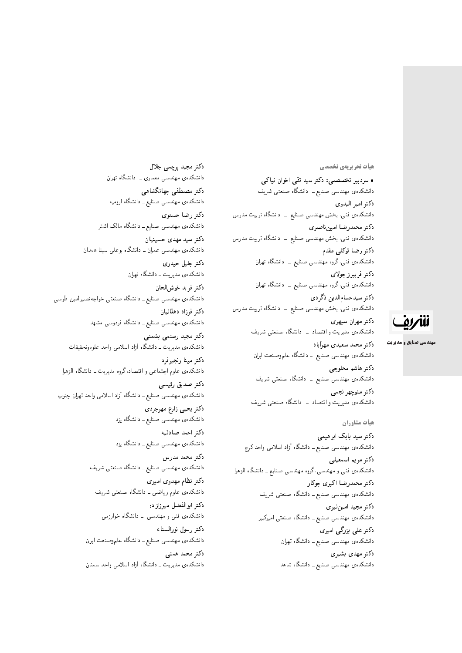#### <mark>هیأت تحریریهی تخصصی</mark>

• سردبیر تخصصبی: دکتر سید تقی اخوان نیاکی دانشکدهی مهندسی صنایع ــ دانشگاه صنعتبی شریف دكتر امير البدوي دانشکدهی فنبی، بخش مهندسی صنایع \_ دانشگاه تربیت مدرس دكتر محمدرضا امين ناصري دانشکدهی فنبی، بخش مهندسی صنایع <mark>– دانشگاه تربیت م</mark>درس دکتر رضا توکلے مقدم دانشکدهی فنبی،گروه مهندسی صنایع ــ دانشگاه تهران دكتر فريبرز جولاي دانشکده،ی فنی،گروه مهندسی صنایع ــ دانشگاه تهران دكتر سيدحسامالدين ذگردي دانشکدهی فنی، بخش مهندسی صنایع ــ دانشگاه تربیت مدرس دكتر مهران سپهري دانشکدهی مدیریت و اقتصاد ــ دانشگاه صنعتی شریف

> دكتر محمد سعيدى مهرأباد دانشکدهی مهندسی صنایع ــ دانشگاه علموصنعت ایران دكتر هاشم محلوجي دانشکدهی مهندسی صنایع ــ دانشگاه صنعتی شریف دكتر منوچهر نجمي دانشکدهی مدیریت و اقتصاد \_ دانشگاه صنعتبی شریف

#### هيأت مشاوران

دکتر سید بابک ابراهیمی دانشکدهی مهندسی صنایع ــ دانشگاه آزاد اسلامی واحد کرج دكتر مريم اسمعيلي دانشکدهی فنبی و مهندسی، گروه مهندسی صنایع ــ دانشگاه الزهرا دكتر محمدرضا اكبرى جوكار دانشکدهی مهندسی صنایع ــ دانشگاه صنعتی شریف دكتر مجيد اميننيري دانشکدهی مهندسی صنایع ــ دانشگاه صنعتی امیرکبیر دکتر علی بزرگی امیری دانشکده، مهندسی صنایع ــ دانشگاه تهران دکتر مهد*ی* بشیری

دانشکدهی مهندسی صنایع ــ دانشگاه شاهد

دکتر مجید برچمی جلال دانشکده، مهندسی معماری ـــ دانشگاه تهران دكتر مصطفى جهانگشاهي دانشکدهی مهندسی صنایع ــ دانشگاه ارومیه دكتر رضا حسنوى دانشکدهی مهندسی صنایع ــ دانشگاه مالک اشتر دكتر سيد مهدى حسينيان دانشکدهی مهندسی عمران ــ دانشگاه بوعلی سینا همدان دكتر جليل حيدرى دانشکدهی مدیریت ــ دانشگاه تهران دكتر فريد خوش الحان دانشکدهی مهندسی صنایع ــ دانشگاه صنعتی خواجهنصمیرالدین طوسی دكتر فرزاد دهقانيان دانشکدهی مهندسی صنایع ــ دانشگاه فردوسی مشهد دكتر مجيد رستمي بشمني دانشکدهی مدیریت ــ دانشگاه آزاد اسلامی واحد علموموتحقیقات دكتر مينا رنجبرفرد دانشکدهی علوم اجتماعی و اقتصاد، گروه مدیریت ــ دانشگاه الزهرا دكتر صديق رئيسي دانشکدهی مهندسی صنایع ـ دانشگاه آزاد اسلامی واحد تهران جنوب دكتر يحيى زارع مهرجردى دانشکدهی مهندسی صنایع ــ دانشگاه یزد دكتر احمد صادقيه دانشکدهی مهندسی صنایع ــ دانشگاه یزد دکتر محمد مدرس دانشکدهی مهندسی صنایع ـ دانشگاه صنعتی شریف دكتر نظام مهدوى اميرى دانشکدهی علوم ریاضی ــ دانشگاه صنعتی شریف دكتر ابوالفضل ميرزازاده دانشکده ی فنبی و مهندسی \_ دانشگاه خوارزمی دكتر رسول نورالسناء دانشکدهی مهندسی صنایع ــ دانشگاه علموصنعت ایران دكتر محمد همتى دانشکدهی مدیریت ــ دانشگاه آزاد اسلامی واحد سمنان

ننتريف

**مهندسی صنایع و مدیریت**